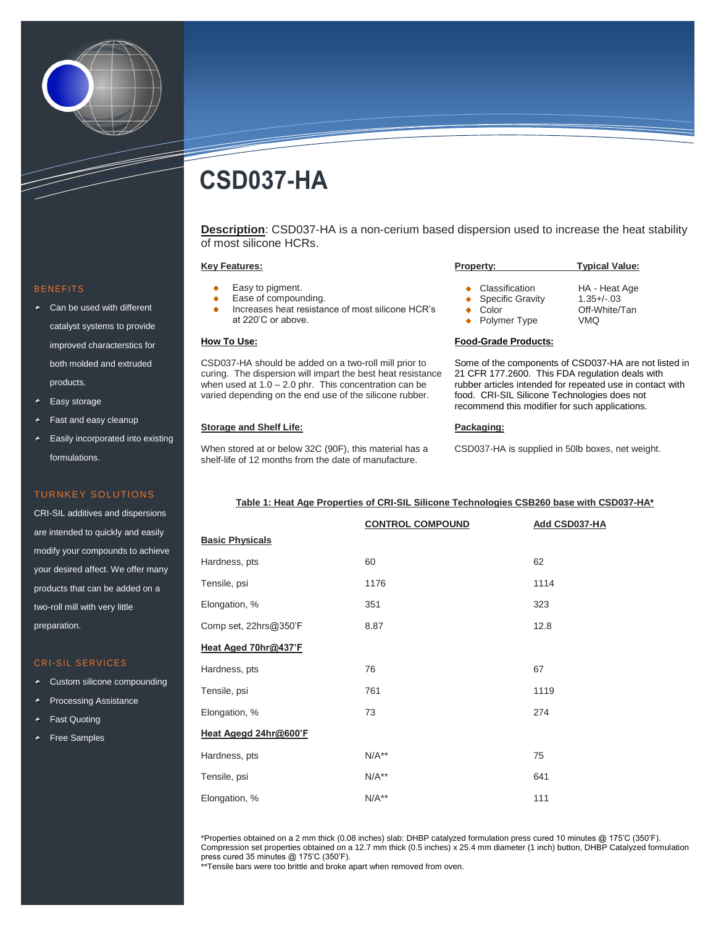

# **CSD037-HA**

**Description**: CSD037-HA is a non-cerium based dispersion used to increase the heat stability of most silicone HCRs.

#### **Key Features:**

- Easy to pigment.
- Ease of compounding.
- Increases heat resistance of most silicone HCR's at 220'C or above.

# **How To Use:**

CSD037-HA should be added on a two-roll mill prior to curing. The dispersion will impart the best heat resistance when used at  $1.0 - 2.0$  phr. This concentration can be varied depending on the end use of the silicone rubber.

# **Storage and Shelf Life:**

When stored at or below 32C (90F), this material has a shelf-life of 12 months from the date of manufacture.

#### **Property: Typical Value:** Classification HA - Heat Age ۰ Specific Gravity 1.35+/-.03 ٠ Color Off-White/Tan ٠ Polymer Type VMQ ٠

#### **Food-Grade Products:**

Some of the components of CSD037-HA are not listed in 21 CFR 177.2600. This FDA regulation deals with rubber articles intended for repeated use in contact with food. CRI-SIL Silicone Technologies does not recommend this modifier for such applications.

#### **Packaging:**

CSD037-HA is supplied in 50lb boxes, net weight.

### **Table 1: Heat Age Properties of CRI-SIL Silicone Technologies CSB260 base with CSD037-HA\***

|                        | <b>CONTROL COMPOUND</b> | Add CSD037-HA |
|------------------------|-------------------------|---------------|
| <b>Basic Physicals</b> |                         |               |
| Hardness, pts          | 60                      | 62            |
| Tensile, psi           | 1176                    | 1114          |
| Elongation, %          | 351                     | 323           |
| Comp set, 22hrs@350'F  | 8.87                    | 12.8          |
| Heat Aged 70hr@437'F   |                         |               |
| Hardness, pts          | 76                      | 67            |
| Tensile, psi           | 761                     | 1119          |
| Elongation, %          | 73                      | 274           |
| Heat Agegd 24hr@600'F  |                         |               |
| Hardness, pts          | $N/A**$                 | 75            |
| Tensile, psi           | $N/A**$                 | 641           |
| Elongation, %          | $N/A**$                 | 111           |

\*Properties obtained on a 2 mm thick (0.08 inches) slab: DHBP catalyzed formulation press cured 10 minutes @ 175'C (350'F). Compression set properties obtained on a 12.7 mm thick (0.5 inches) x 25.4 mm diameter (1 inch) button, DHBP Catalyzed formulation press cured 35 minutes @ 175'C (350'F).

\*\*Tensile bars were too brittle and broke apart when removed from oven.

#### **BENEFITS**

- ← Can be used with different catalyst systems to provide improved characterstics for both molded and extruded products.
- Easy storage
- Fast and easy cleanup
- Easily incorporated into existing formulations.

## TURNKEY SOLUTIONS

CRI-SIL additives and dispersions are intended to quickly and easily modify your compounds to achieve your desired affect. We offer many products that can be added on a two-roll mill with very little preparation.

### CRI-SIL SERVICES

- Custom silicone compounding
- Processing Assistance
- Fast Quoting
- Free Samples